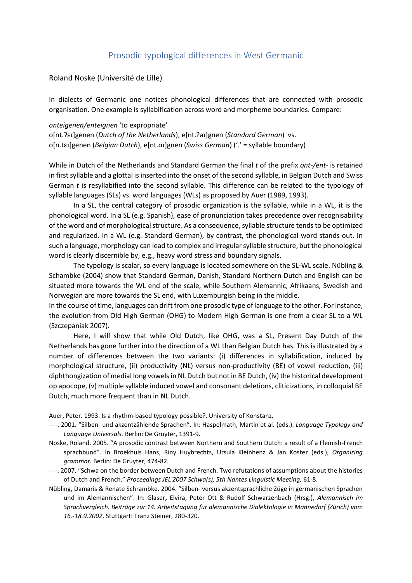## Prosodic typological differences in West Germanic

Roland Noske (Université de Lille)

In dialects of Germanic one notices phonological differences that are connected with prosodic organisation. One example is syllabification across word and morpheme boundaries. Compare:

*onteigenen/enteignen* 'to expropriate' o[nt.ʔɛɪ]genen (*Dutch of the Netherlands*), e[nt.ʔaɪ]gnen (*Standard German*) vs. o[n.tɛɪ]genen (*Belgian Dutch*), e[nt.ɑɪ]gnen (*Swiss German*) ('.' = syllable boundary)

While in Dutch of the Netherlands and Standard German the final *t* of the prefix *ont-/ent-* is retained in first syllable and a glottal is inserted into the onset of the second syllable, in Belgian Dutch and Swiss German *t* is resyllabified into the second syllable. This difference can be related to the typology of syllable languages (SLs) vs. word languages (WLs) as proposed by Auer (1989, 1993).

In a SL, the central category of prosodic organization is the syllable, while in a WL, it is the phonological word. In a SL (e.g. Spanish), ease of pronunciation takes precedence over recognisability of the word and of morphological structure. As a consequence, syllable structure tends to be optimized and regularized. In a WL (e.g. Standard German), by contrast, the phonological word stands out. In such a language, morphology can lead to complex and irregular syllable structure, but the phonological word is clearly discernible by, e.g., heavy word stress and boundary signals.

The typology is scalar, so every language is located somewhere on the SL-WL scale. Nübling & Schambke (2004) show that Standard German, Danish, Standard Northern Dutch and English can be situated more towards the WL end of the scale, while Southern Alemannic, Afrikaans, Swedish and Norwegian are more towards the SL end, with Luxemburgish being in the middle.

In the course of time, languages can drift from one prosodic type of language to the other. For instance, the evolution from Old High German (OHG) to Modern High German is one from a clear SL to a WL (Szczepaniak 2007).

Here, I will show that while Old Dutch, like OHG, was a SL, Present Day Dutch of the Netherlands has gone further into the direction of a WL than Belgian Dutch has. This is illustrated by a number of differences between the two variants: (i) differences in syllabification, induced by morphological structure, (ii) productivity (NL) versus non-productivity (BE) of vowel reduction, (iii) diphthongization of medial long vowels in NL Dutch but not in BE Dutch, (iv) the historical development op apocope, (v) multiple syllable induced vowel and consonant deletions, cliticizations, in colloquial BE Dutch, much more frequent than in NL Dutch.

Auer, Peter. 1993. Is a rhythm-based typology possible?, University of Konstanz.

- ----. 2001. "Silben- und akzentzählende Sprachen". In: Haspelmath, Martin et al. (eds.). *Language Typology and Language Universals.* Berlin: De Gruyter, 1391-9.
- Noske, Roland. 2005. "A prosodic contrast between Northern and Southern Dutch: a result of a Flemish-French sprachbund". In Broekhuis Hans, Riny Huybrechts, Ursula Kleinhenz & Jan Koster (eds.), *Organizing grammar.* Berlin: De Gruyter, 474-82.
- ----. 2007. "Schwa on the border between Dutch and French. Two refutations of assumptions about the histories of Dutch and French." *Proceedings JEL'2007 Schwa(s), 5th Nantes Linguistic Meeting,* 61-8.
- Nübling, Damaris & Renate Schrambke. 2004. "Silben- versus akzentsprachliche Züge in germanischen Sprachen und im Alemannischen". In: Glaser**,** Elvira, Peter Ott & Rudolf Schwarzenbach (Hrsg.), *Alemannisch im Sprachvergleich. Beiträge zur 14. Arbeitstagung für alemannische Dialektologie in Männedorf (Zürich) vom 16.-18.9.2002*. Stuttgart: Franz Steiner, 280-320.